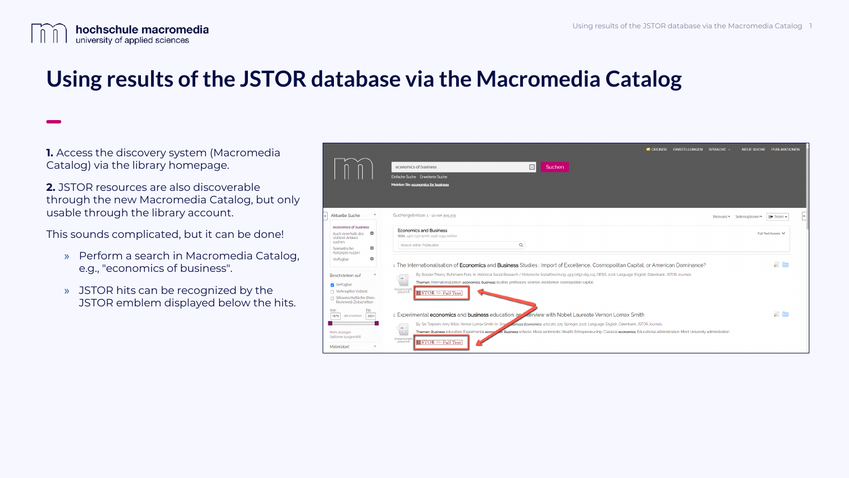

## **Using results of the JSTOR database via the Macromedia Catalog**

**1.** Access the discovery system (Macromedia Catalog) via the library homepage.

**2.** JSTOR resources are also discoverable through the new Macromedia Catalog, but only usable through the library account.

This sounds complicated, but it can be done!

- » Perform a search in Macromedia Catalog, e.g., "economics of business".
- » JSTOR hits can be recognized by the JSTOR emblem displayed below the hits.

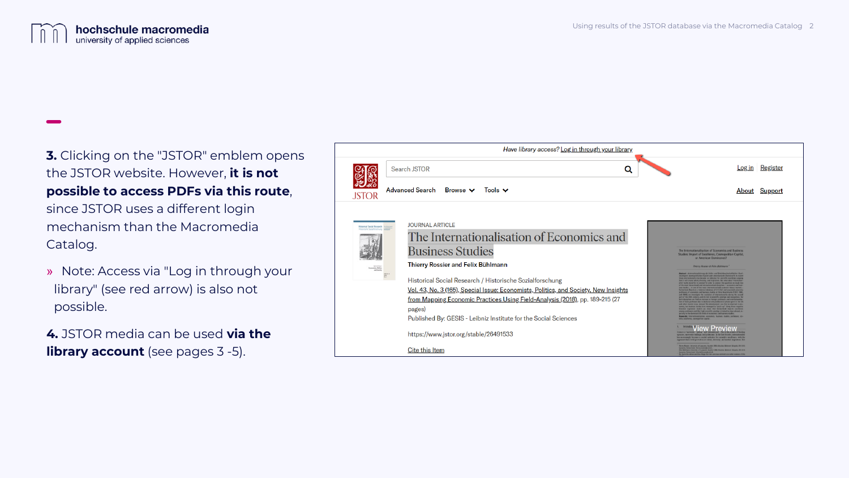

**3.** Clicking on the "JSTOR" emblem opens the JSTOR website. However, **it is not possible to access PDFs via this route**, since JSTOR uses a different login mechanism than the Macromedia Catalog.

» Note: Access via "Log in through your library" (see red arrow) is also not possible.

**4.** JSTOR media can be used **via the library account** (see pages 3 -5).

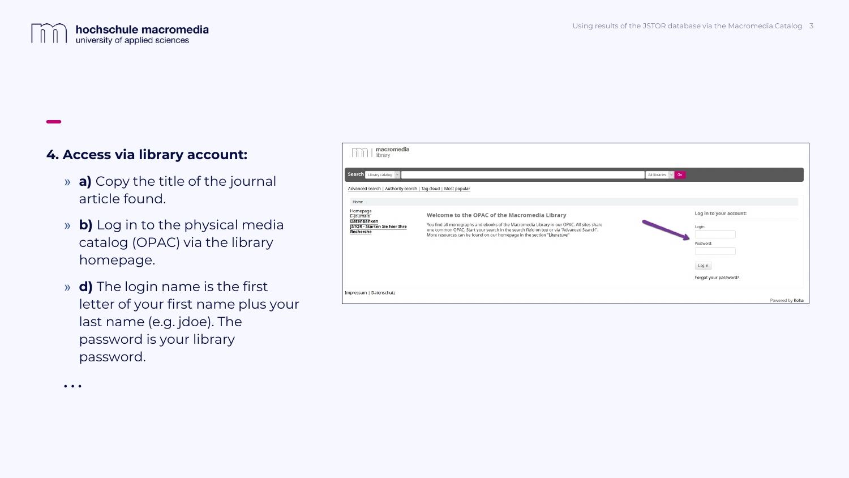## **4. Access via library account:**

**. . .**

- » **a)** Copy the title of the journal article found.
- » **b)** Log in to the physical media catalog (OPAC) via the library homepage.
- » **d)** The login name is the first letter of your first name plus your last name (e.g. jdoe). The password is your library password.

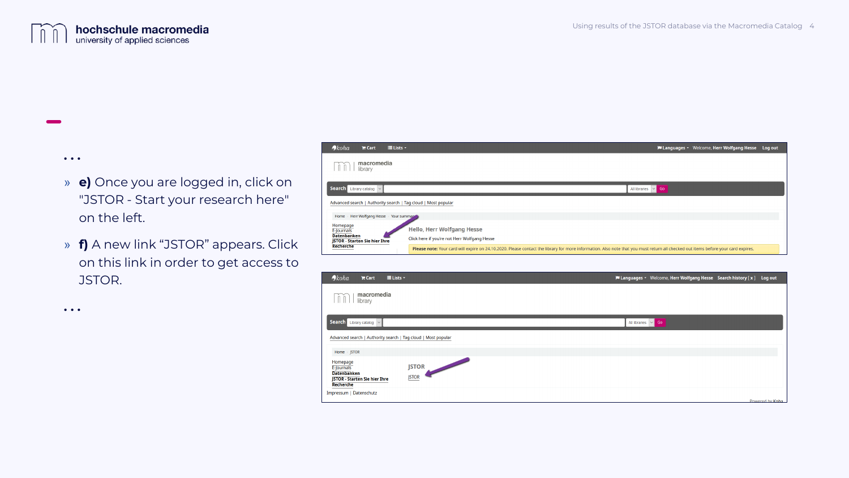**. . .** 

**. . .** 

## » **e)** Once you are logged in, click on "JSTOR - Start your research here" on the left.

» **f)** A new link "JSTOR" appears. Click on this link in order to get access to JSTOR.



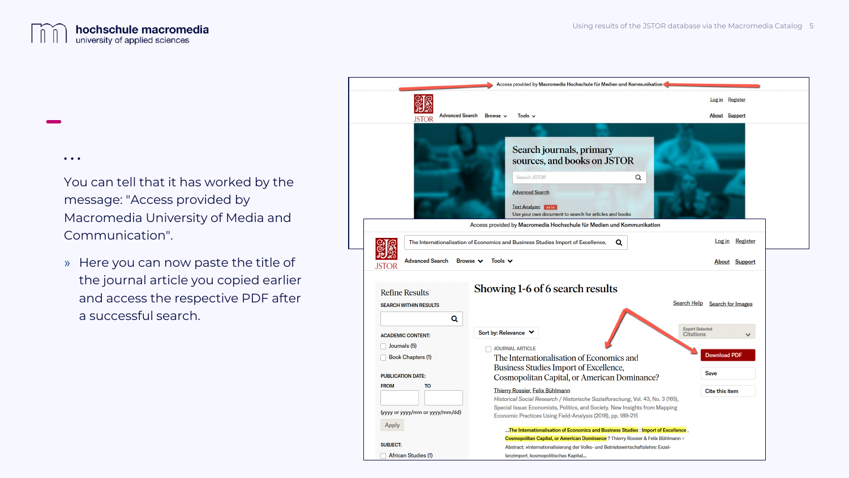

**. . .** 

You can tell that it has worked by the message: "Access provided by Macromedia University of Media and Communication".

» Here you can now paste the title of the journal article you copied earlier and access the respective PDF after a successful search.